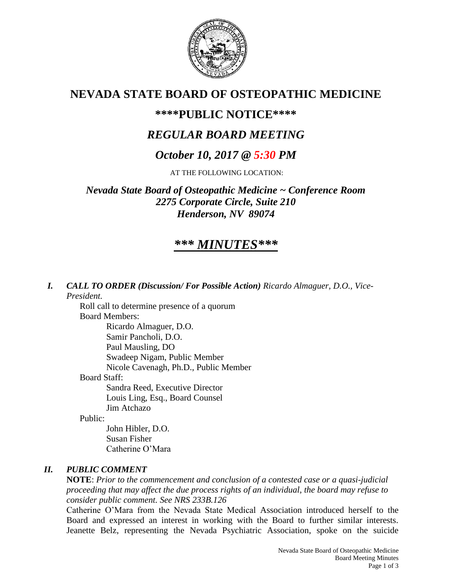

# **NEVADA STATE BOARD OF OSTEOPATHIC MEDICINE**

# **\*\*\*\*PUBLIC NOTICE\*\*\*\***

# *REGULAR BOARD MEETING*

# *October 10, 2017 @ 5:30 PM*

AT THE FOLLOWING LOCATION:

*Nevada State Board of Osteopathic Medicine ~ Conference Room 2275 Corporate Circle, Suite 210 Henderson, NV 89074*

# *\*\*\* MINUTES\*\*\**

*I. CALL TO ORDER (Discussion/ For Possible Action) Ricardo Almaguer, D.O., Vice-President.*

Roll call to determine presence of a quorum Board Members: Ricardo Almaguer, D.O. Samir Pancholi, D.O.

Paul Mausling, DO

Swadeep Nigam, Public Member

Nicole Cavenagh, Ph.D., Public Member

Board Staff:

Sandra Reed, Executive Director Louis Ling, Esq., Board Counsel Jim Atchazo

Public:

John Hibler, D.O. Susan Fisher Catherine O'Mara

# *II. PUBLIC COMMENT*

**NOTE**: *Prior to the commencement and conclusion of a contested case or a quasi-judicial proceeding that may affect the due process rights of an individual, the board may refuse to consider public comment. See NRS 233B.126*

Catherine O'Mara from the Nevada State Medical Association introduced herself to the Board and expressed an interest in working with the Board to further similar interests. Jeanette Belz, representing the Nevada Psychiatric Association, spoke on the suicide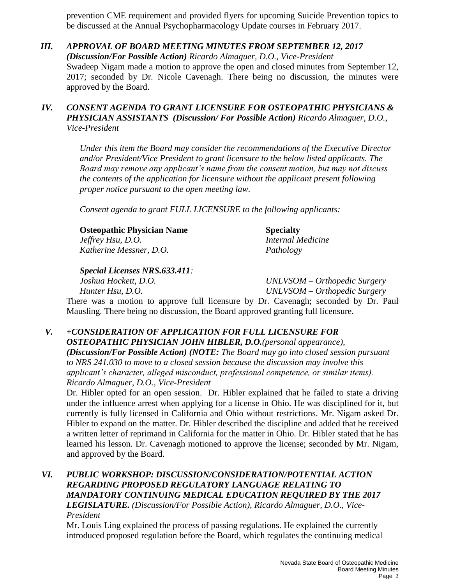prevention CME requirement and provided flyers for upcoming Suicide Prevention topics to be discussed at the Annual Psychopharmacology Update courses in February 2017.

*III. APPROVAL OF BOARD MEETING MINUTES FROM SEPTEMBER 12, 2017 (Discussion/For Possible Action) Ricardo Almaguer, D.O., Vice-President* Swadeep Nigam made a motion to approve the open and closed minutes from September 12, 2017; seconded by Dr. Nicole Cavenagh. There being no discussion, the minutes were approved by the Board.

### *IV. CONSENT AGENDA TO GRANT LICENSURE FOR OSTEOPATHIC PHYSICIANS & PHYSICIAN ASSISTANTS (Discussion/ For Possible Action) Ricardo Almaguer, D.O., Vice-President*

*Under this item the Board may consider the recommendations of the Executive Director and/or President/Vice President to grant licensure to the below listed applicants. The Board may remove any applicant's name from the consent motion, but may not discuss the contents of the application for licensure without the applicant present following proper notice pursuant to the open meeting law.* 

*Consent agenda to grant FULL LICENSURE to the following applicants:*

| <b>Osteopathic Physician Name</b> | <b>Specialty</b>         |
|-----------------------------------|--------------------------|
| <i>Jeffrey Hsu, D.O.</i>          | <b>Internal Medicine</b> |
| Katherine Messner, D.O.           | Pathology                |

*Special Licenses NRS.633.411:*

*Joshua Hockett, D.O. UNLVSOM – Orthopedic Surgery Hunter Hsu, D.O. UNLVSOM – Orthopedic Surgery*

There was a motion to approve full licensure by Dr. Cavenagh; seconded by Dr. Paul Mausling. There being no discussion, the Board approved granting full licensure.

*V. +CONSIDERATION OF APPLICATION FOR FULL LICENSURE FOR OSTEOPATHIC PHYSICIAN JOHN HIBLER, D.O.(personal appearance), (Discussion/For Possible Action) (NOTE: The Board may go into closed session pursuant to NRS 241.030 to move to a closed session because the discussion may involve this applicant's character, alleged misconduct, professional competence, or similar items). Ricardo Almaguer, D.O., Vice-President* 

Dr. Hibler opted for an open session. Dr. Hibler explained that he failed to state a driving under the influence arrest when applying for a license in Ohio. He was disciplined for it, but currently is fully licensed in California and Ohio without restrictions. Mr. Nigam asked Dr. Hibler to expand on the matter. Dr. Hibler described the discipline and added that he received a written letter of reprimand in California for the matter in Ohio. Dr. Hibler stated that he has learned his lesson. Dr. Cavenagh motioned to approve the license; seconded by Mr. Nigam, and approved by the Board.

#### *VI. PUBLIC WORKSHOP: DISCUSSION/CONSIDERATION/POTENTIAL ACTION REGARDING PROPOSED REGULATORY LANGUAGE RELATING TO MANDATORY CONTINUING MEDICAL EDUCATION REQUIRED BY THE 2017 LEGISLATURE. (Discussion/For Possible Action), Ricardo Almaguer, D.O., Vice-President*

Mr. Louis Ling explained the process of passing regulations. He explained the currently introduced proposed regulation before the Board, which regulates the continuing medical